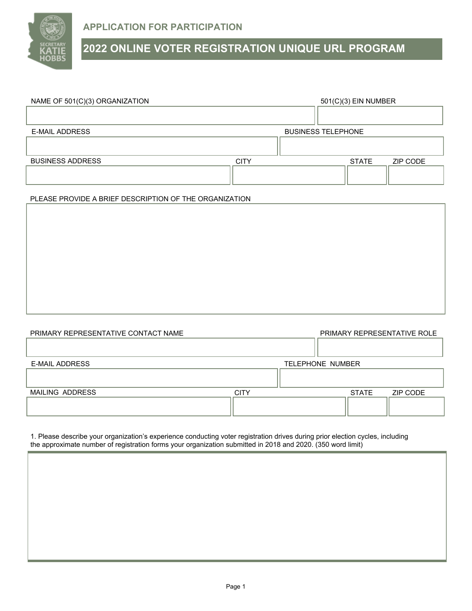

## **2022 ONLINE VOTER REGISTRATION UNIQUE URL PROGRAM**

| NAME OF 501(C)(3) ORGANIZATION | 501(C)(3) EIN NUMBER      |  |              |          |  |
|--------------------------------|---------------------------|--|--------------|----------|--|
|                                |                           |  |              |          |  |
|                                |                           |  |              |          |  |
| <b>E-MAIL ADDRESS</b>          | <b>BUSINESS TELEPHONE</b> |  |              |          |  |
|                                |                           |  |              |          |  |
|                                |                           |  |              |          |  |
| <b>BUSINESS ADDRESS</b>        | <b>CITY</b>               |  | <b>STATE</b> | ZIP CODE |  |
|                                |                           |  |              |          |  |
|                                |                           |  |              |          |  |

## PLEASE PROVIDE A BRIEF DESCRIPTION OF THE ORGANIZATION

| PRIMARY REPRESENTATIVE CONTACT NAME |             |                  |              | PRIMARY REPRESENTATIVE ROLE |
|-------------------------------------|-------------|------------------|--------------|-----------------------------|
|                                     |             |                  |              |                             |
|                                     |             |                  |              |                             |
| <b>E-MAIL ADDRESS</b>               |             | TELEPHONE NUMBER |              |                             |
|                                     |             |                  |              |                             |
|                                     |             |                  |              |                             |
| MAILING ADDRESS                     | <b>CITY</b> |                  | <b>STATE</b> | ZIP CODE                    |
|                                     |             |                  |              |                             |
|                                     |             |                  |              |                             |

1. Please describe your organization's experience conducting voter registration drives during prior election cycles, including the approximate number of registration forms your organization submitted in 2018 and 2020. (350 word limit)